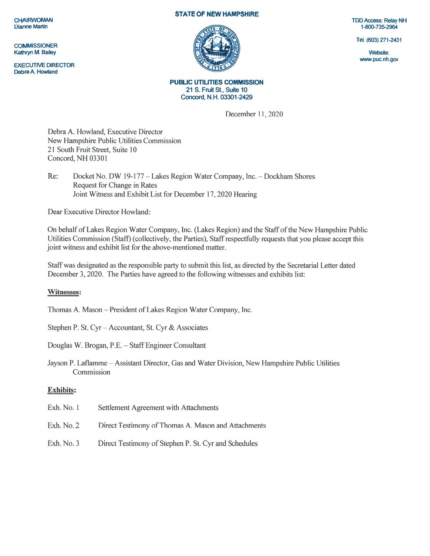**COMMISSIONER** 

EXECUTIVE DIRECTOR Debra A. Howland

## STATE OF NEW HAMPSHIRE



CHAIRWOMAN TDD Access: Relay NH<br>
Dianne Martin 1-800-735-2964

Tel. (603) 271-2431

www.puc.nh.gov

PUBLIC UTIUTIES COMMISSION 21 S. Fruit St., Suite 10 Concord, N.H. 03301-2429

December 11, 2020

Debra A. Howland, Executive Director New Hampshire Public Utilities Commission 21 South Fruit Street, Suite 10 Concord, NH 03301

Re: Docket No. DW 19-177 — Lakes Region Water Company, Inc. — Dockham Shores Request for Change in Rates Joint Witness and Exhibit List for December 17, 2020 Hearing

Dear Executive Director Howland:

On behalf of Lakes Region Water Company, Inc. (Lakes Region) and the Staff of the New Hampshire Public Utilities Commission (Staff) (collectively, the Parties), Staffrespectfully requests that you please accep<sup>t</sup> this joint witness and exhibit list for the above-mentioned matter.

Staffwas designated as the responsible party to submit this list, as directed by the Secretarial Letter dated December 3, 2020. The Parties have agreed to the following witnesses and exhibits list:

## Witnesses:

Thomas A. Mason – President of Lakes Region Water Company, Inc.

Stephen P. St. Cyr — Accountant, St. Cyr & Associates

Douglas W. Brogan, P.E. — Staff Engineer Consultant

Jayson P. Laftamme — Assistant Director, Gas and Water Division, New Hampshire Public Utilities Commission

## Exhibits:

| Exh. No. 1 | Settlement Agreement with Attachments |
|------------|---------------------------------------|
|------------|---------------------------------------|

- Exh. No. 2 Direct Testimony of Thomas A. Mason and Attachments
- Exh. No. 3 Direct Testimony of Stephen P. St. Cyr and Schedules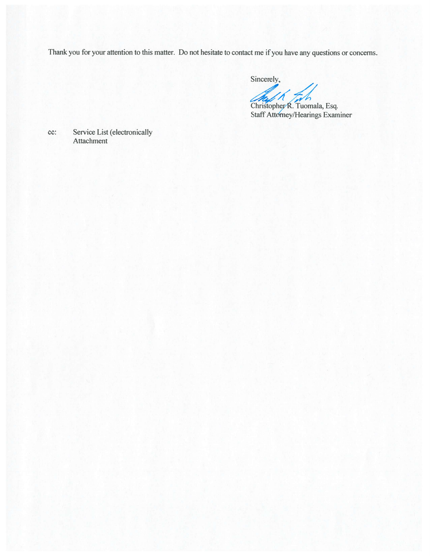Thank you for your attention to this matter. Do not hesitate to contact me if you have any questions or concerns.

Sincerely,

Christophey R. Tuomala, Esq. Staff Attorney/Hearings Examiner

cc: Service List (electronically Attachment